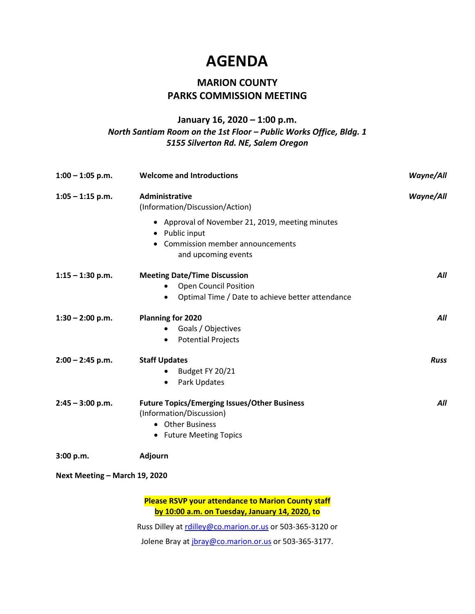### **AGENDA**

### **MARION COUNTY PARKS COMMISSION MEETING**

#### **January 16, 2020 – 1:00 p.m.** *North Santiam Room on the 1st Floor – Public Works Office, Bldg. 1 5155 Silverton Rd. NE, Salem Oregon*

| $1:00 - 1:05$ p.m.            | <b>Welcome and Introductions</b>                                                                                               | <b>Wayne/All</b> |
|-------------------------------|--------------------------------------------------------------------------------------------------------------------------------|------------------|
| $1:05 - 1:15$ p.m.            | Administrative<br>(Information/Discussion/Action)                                                                              | <b>Wayne/All</b> |
|                               | • Approval of November 21, 2019, meeting minutes<br>• Public input<br>• Commission member announcements<br>and upcoming events |                  |
| $1:15 - 1:30$ p.m.            | <b>Meeting Date/Time Discussion</b><br><b>Open Council Position</b><br>Optimal Time / Date to achieve better attendance        | All              |
| $1:30 - 2:00$ p.m.            | Planning for 2020<br>Goals / Objectives<br><b>Potential Projects</b>                                                           | All              |
| $2:00 - 2:45$ p.m.            | <b>Staff Updates</b><br>Budget FY 20/21<br>Park Updates<br>$\bullet$                                                           | <b>Russ</b>      |
| $2:45 - 3:00$ p.m.            | <b>Future Topics/Emerging Issues/Other Business</b><br>(Information/Discussion)<br>• Other Business<br>• Future Meeting Topics | All              |
| 3:00 p.m.                     | Adjourn                                                                                                                        |                  |
| Next Meeting - March 19, 2020 |                                                                                                                                |                  |

**Please RSVP your attendance to Marion County staff by 10:00 a.m. on Tuesday, January 14, 2020, to**

Russ Dilley at [rdilley@co.marion.or.us](mailto:rdilley@co.marion.or.us) or 503-365-3120 or

Jolene Bray at [jbray@co.marion.or.us](mailto:jbray@co.marion.or.us) or 503-365-3177.